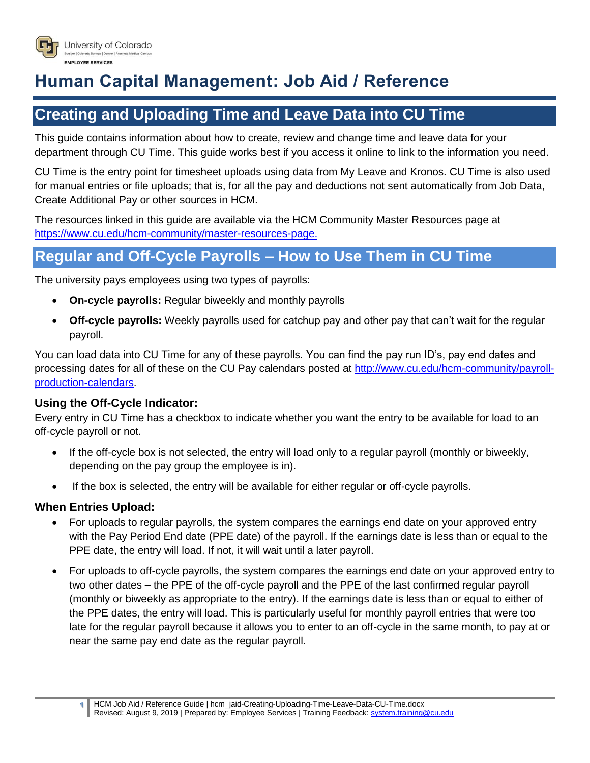

# **Human Capital Management: Job Aid / Reference**

## **Creating and Uploading Time and Leave Data into CU Time**

This guide contains information about how to create, review and change time and leave data for your department through CU Time. This guide works best if you access it online to link to the information you need.

CU Time is the entry point for timesheet uploads using data from My Leave and Kronos. CU Time is also used for manual entries or file uploads; that is, for all the pay and deductions not sent automatically from Job Data, Create Additional Pay or other sources in HCM.

The resources linked in this guide are available via the HCM Community Master Resources page at [https://www.cu.edu/hcm-community/master-resources-page.](https://www.cu.edu/hcm-community/master-resources-page)

## **Regular and Off-Cycle Payrolls – How to Use Them in CU Time**

The university pays employees using two types of payrolls:

- **On-cycle payrolls:** Regular biweekly and monthly payrolls
- **Off-cycle payrolls:** Weekly payrolls used for catchup pay and other pay that can't wait for the regular payroll.

You can load data into CU Time for any of these payrolls. You can find the pay run ID's, pay end dates and processing dates for all of these on the CU Pay calendars posted at [http://www.cu.edu/hcm-community/payroll](http://www.cu.edu/hcm-community/payroll-production-calendars)[production-calendars.](http://www.cu.edu/hcm-community/payroll-production-calendars)

### **Using the Off-Cycle Indicator:**

Every entry in CU Time has a checkbox to indicate whether you want the entry to be available for load to an off-cycle payroll or not.

- If the off-cycle box is not selected, the entry will load only to a regular payroll (monthly or biweekly, depending on the pay group the employee is in).
- If the box is selected, the entry will be available for either regular or off-cycle payrolls.

### **When Entries Upload:**

- For uploads to regular payrolls, the system compares the earnings end date on your approved entry with the Pay Period End date (PPE date) of the payroll. If the earnings date is less than or equal to the PPE date, the entry will load. If not, it will wait until a later payroll.
- For uploads to off-cycle payrolls, the system compares the earnings end date on your approved entry to two other dates – the PPE of the off-cycle payroll and the PPE of the last confirmed regular payroll (monthly or biweekly as appropriate to the entry). If the earnings date is less than or equal to either of the PPE dates, the entry will load. This is particularly useful for monthly payroll entries that were too late for the regular payroll because it allows you to enter to an off-cycle in the same month, to pay at or near the same pay end date as the regular payroll.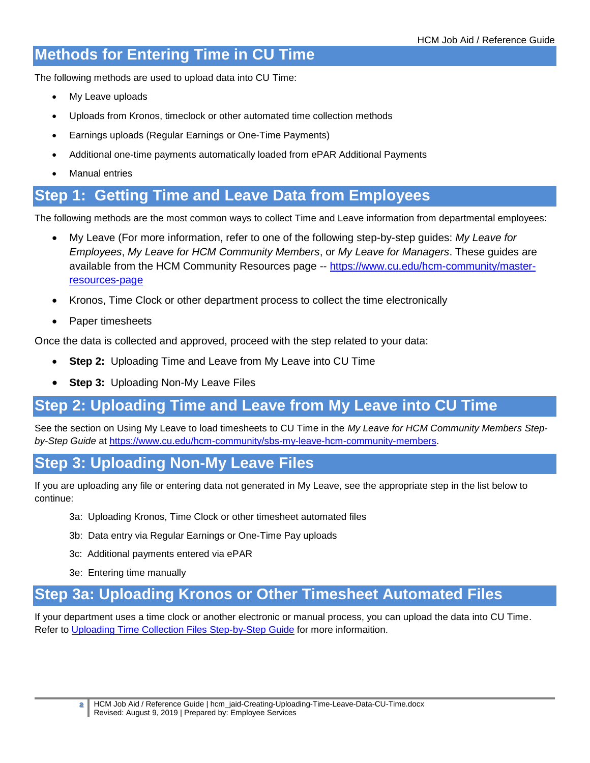## **Methods for Entering Time in CU Time**

The following methods are used to upload data into CU Time:

- My Leave uploads
- Uploads from Kronos, timeclock or other automated time collection methods
- Earnings uploads (Regular Earnings or One-Time Payments)
- Additional one-time payments automatically loaded from ePAR Additional Payments
- Manual entries

## **Step 1: Getting Time and Leave Data from Employees**

The following methods are the most common ways to collect Time and Leave information from departmental employees:

- My Leave (For more information, refer to one of the following step-by-step guides: *My Leave for Employees*, *My Leave for HCM Community Members*, or *My Leave for Managers*. These guides are available from the HCM Community Resources page -- [https://www.cu.edu/hcm-community/master](https://www.cu.edu/hcm-community/master-resources-page)[resources-page](https://www.cu.edu/hcm-community/master-resources-page)
- Kronos, Time Clock or other department process to collect the time electronically
- Paper timesheets

Once the data is collected and approved, proceed with the step related to your data:

- **Step 2:** Uploading Time and Leave from My Leave into CU Time
- **Step 3:** Uploading Non-My Leave Files

### **Step 2: Uploading Time and Leave from My Leave into CU Time**

See the section on Using My Leave to load timesheets to CU Time in the *My Leave for HCM Community Members Step*by-Step Guide at [https://www.cu.edu/hcm-community/sbs-my-leave-hcm-community-members.](https://www.cu.edu/hcm-community/sbs-my-leave-hcm-community-members)

### **Step 3: Uploading Non-My Leave Files**

If you are uploading any file or entering data not generated in My Leave, see the appropriate step in the list below to continue:

- 3a: Uploading Kronos, Time Clock or other timesheet automated files
- 3b: Data entry via Regular Earnings or One-Time Pay uploads
- 3c: Additional payments entered via ePAR
- 3e: Entering time manually

### **Step 3a: Uploading Kronos or Other Timesheet Automated Files**

If your department uses a time clock or another electronic or manual process, you can upload the data into CU Time. Refer to [Uploading Time Collection Files Step-by-Step Guide](https://www.cu.edu/docs/sbs-uploading-time-collection-files) for more informaition.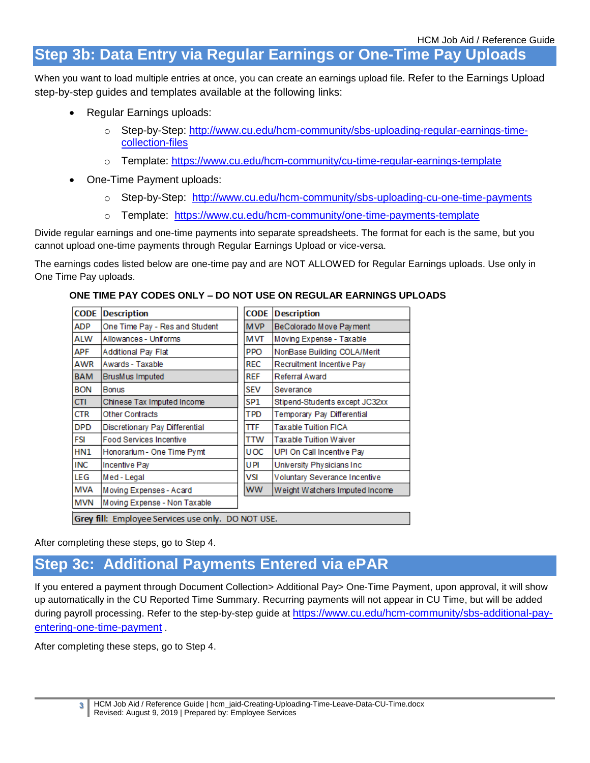## **Step 3b: Data Entry via Regular Earnings or One-Time Pay Uploads**

When you want to load multiple entries at once, you can create an earnings upload file. Refer to the Earnings Upload step-by-step guides and templates available at the following links:

- Regular Earnings uploads:
	- o Step-by-Step: [http://www.cu.edu/hcm-community/sbs-uploading-regular-earnings-time](http://www.cu.edu/hcm-community/sbs-uploading-regular-earnings-time-collection-files)[collection-files](http://www.cu.edu/hcm-community/sbs-uploading-regular-earnings-time-collection-files)
	- o Template: <https://www.cu.edu/hcm-community/cu-time-regular-earnings-template>
- One-Time Payment uploads:
	- o Step-by-Step: <http://www.cu.edu/hcm-community/sbs-uploading-cu-one-time-payments>
	- o Template: <https://www.cu.edu/hcm-community/one-time-payments-template>

Divide regular earnings and one-time payments into separate spreadsheets. The format for each is the same, but you cannot upload one-time payments through Regular Earnings Upload or vice-versa.

The earnings codes listed below are one-time pay and are NOT ALLOWED for Regular Earnings uploads. Use only in One Time Pay uploads.

#### **ONE TIME PAY CODES ONLY – DO NOT USE ON REGULAR EARNINGS UPLOADS**

| <b>CODE</b>                                        | <b>Description</b>             | <b>CODE</b>     | <b>Description</b>             |
|----------------------------------------------------|--------------------------------|-----------------|--------------------------------|
| ADP                                                | One Time Pay - Res and Student | <b>MVP</b>      | BeColorado Move Payment        |
| ALW                                                | Allowances - Uniforms          | МVТ             | Moving Expense - Taxable       |
| APF                                                | Additional Pay Flat            | <b>PPO</b>      | NonBase Building COLA/Merit    |
| AWR                                                | Awards - Taxable               | <b>REC</b>      | Recruitment Incentive Pay      |
| <b>BAM</b>                                         | BrusMus Imputed                | <b>REF</b>      | Referral Award                 |
| <b>BON</b>                                         | Bonus                          | <b>SEV</b>      | Severance                      |
| <b>CTI</b>                                         | Chinese Tax Imputed Income     | SP <sub>1</sub> | Stipend-Students except JC32xx |
| <b>CTR</b>                                         | Other Contracts                | <b>TPD</b>      | Temporary Pay Differential     |
| <b>DPD</b>                                         | Discretionary Pay Differential | ΠF              | Taxable Tuition FICA           |
| FSI                                                | <b>Food Services Incentive</b> | TTW             | Taxable Tuition Waiver         |
| HN <sub>1</sub>                                    | Honorarium - One Time Pymt     | <b>UOC</b>      | UPI On Call Incentive Pay      |
| <b>INC</b>                                         | Incentive Pay                  | <b>UPI</b>      | University Physicians Inc.     |
| LEG                                                | Med-Legal                      | VSI             | Voluntary Severance Incentive  |
| MVA                                                | Moving Expenses - Acard        | <b>WW</b>       | Weight Watchers Imputed Income |
| <b>MVN</b>                                         | Moving Expense - Non Taxable   |                 |                                |
| Grey fill: Employee Services use only. DO NOT USE. |                                |                 |                                |

After completing these steps, go to Step 4.

### **Step 3c: Additional Payments Entered via ePAR**

If you entered a payment through Document Collection> Additional Pay> One-Time Payment, upon approval, it will show up automatically in the CU Reported Time Summary. Recurring payments will not appear in CU Time, but will be added during payroll processing. Refer to the step-by-step guide at [https://www.cu.edu/hcm-community/sbs-additional-pay](https://www.cu.edu/hcm-community/sbs-additional-pay-entering-one-time-payment)[entering-one-time-payment](https://www.cu.edu/hcm-community/sbs-additional-pay-entering-one-time-payment) .

After completing these steps, go to Step 4.

**<sup>3</sup>** HCM Job Aid / Reference Guide | hcm\_jaid-Creating-Uploading-Time-Leave-Data-CU-Time.docx Revised: August 9, 2019 | Prepared by: Employee Services